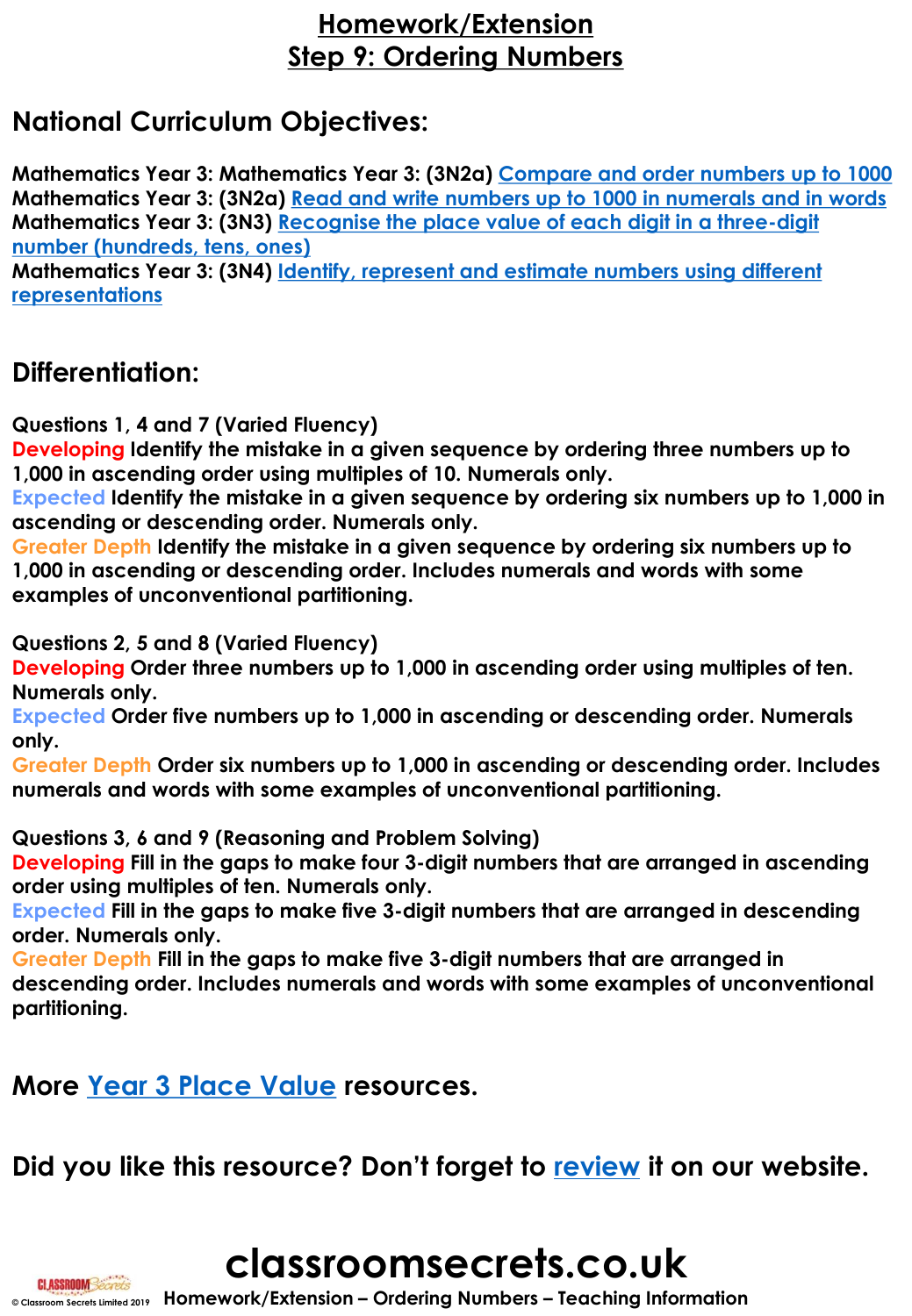### **Homework/Extension Step 9: Ordering Numbers**

# **National Curriculum Objectives:**

**Mathematics Year 3: Mathematics Year 3: (3N2a) [Compare and order numbers up to 1000](https://classroomsecrets.co.uk/content-domain-filter/?fwp_contentdomain=3n2a) Mathematics Year 3: (3N2a) [Read and write numbers up to 1000 in numerals and in words](https://classroomsecrets.co.uk/content-domain-filter/?fwp_contentdomain=3n2a) Mathematics Year 3: (3N3) [Recognise the place value of each digit in a three-digit](https://classroomsecrets.co.uk/content-domain-filter/?fwp_contentdomain=3n3) number (hundreds, tens, ones)**

**Mathematics Year 3: (3N4) [Identify, represent and estimate numbers using different](https://classroomsecrets.co.uk/content-domain-filter/?fwp_contentdomain=3n4) representations**

### **Differentiation:**

**Questions 1, 4 and 7 (Varied Fluency)**

**Developing Identify the mistake in a given sequence by ordering three numbers up to 1,000 in ascending order using multiples of 10. Numerals only.** 

**Expected Identify the mistake in a given sequence by ordering six numbers up to 1,000 in ascending or descending order. Numerals only.** 

**Greater Depth Identify the mistake in a given sequence by ordering six numbers up to 1,000 in ascending or descending order. Includes numerals and words with some examples of unconventional partitioning.**

**Questions 2, 5 and 8 (Varied Fluency)**

**Developing Order three numbers up to 1,000 in ascending order using multiples of ten. Numerals only.**

**Expected Order five numbers up to 1,000 in ascending or descending order. Numerals only.**

**Greater Depth Order six numbers up to 1,000 in ascending or descending order. Includes numerals and words with some examples of unconventional partitioning.**

**Questions 3, 6 and 9 (Reasoning and Problem Solving)**

**Developing Fill in the gaps to make four 3-digit numbers that are arranged in ascending order using multiples of ten. Numerals only.**

**Expected Fill in the gaps to make five 3-digit numbers that are arranged in descending order. Numerals only.**

**Greater Depth Fill in the gaps to make five 3-digit numbers that are arranged in descending order. Includes numerals and words with some examples of unconventional partitioning.**

### **More [Year 3 Place Value](https://classroomsecrets.co.uk/category/maths/year-3/autumn-block-1-place-value-year-3/) resources.**

**Did you like this resource? Don't forget to [review](https://classroomsecrets.co.uk/ordering-numbers-homework-extension-year-3-place-value/) it on our website.**



**© Classroom Secrets Limited 2019 Homework/Extension – Ordering Numbers – Teaching Information**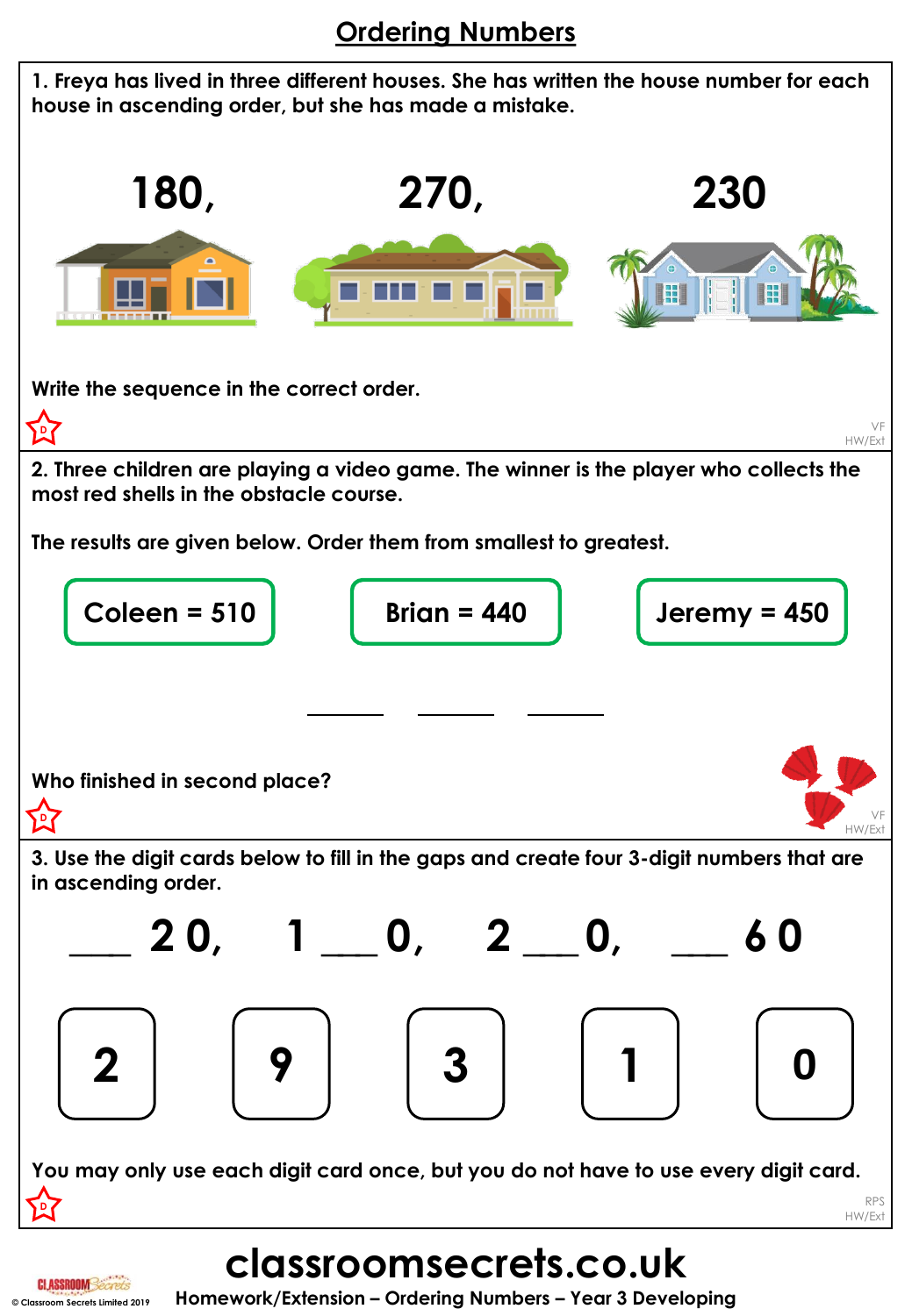# **Ordering Numbers**



**© Classroom Secrets Limited 2019 Homework/Extension – Ordering Numbers – Year 3 Developing**

**CLASSROOMSec**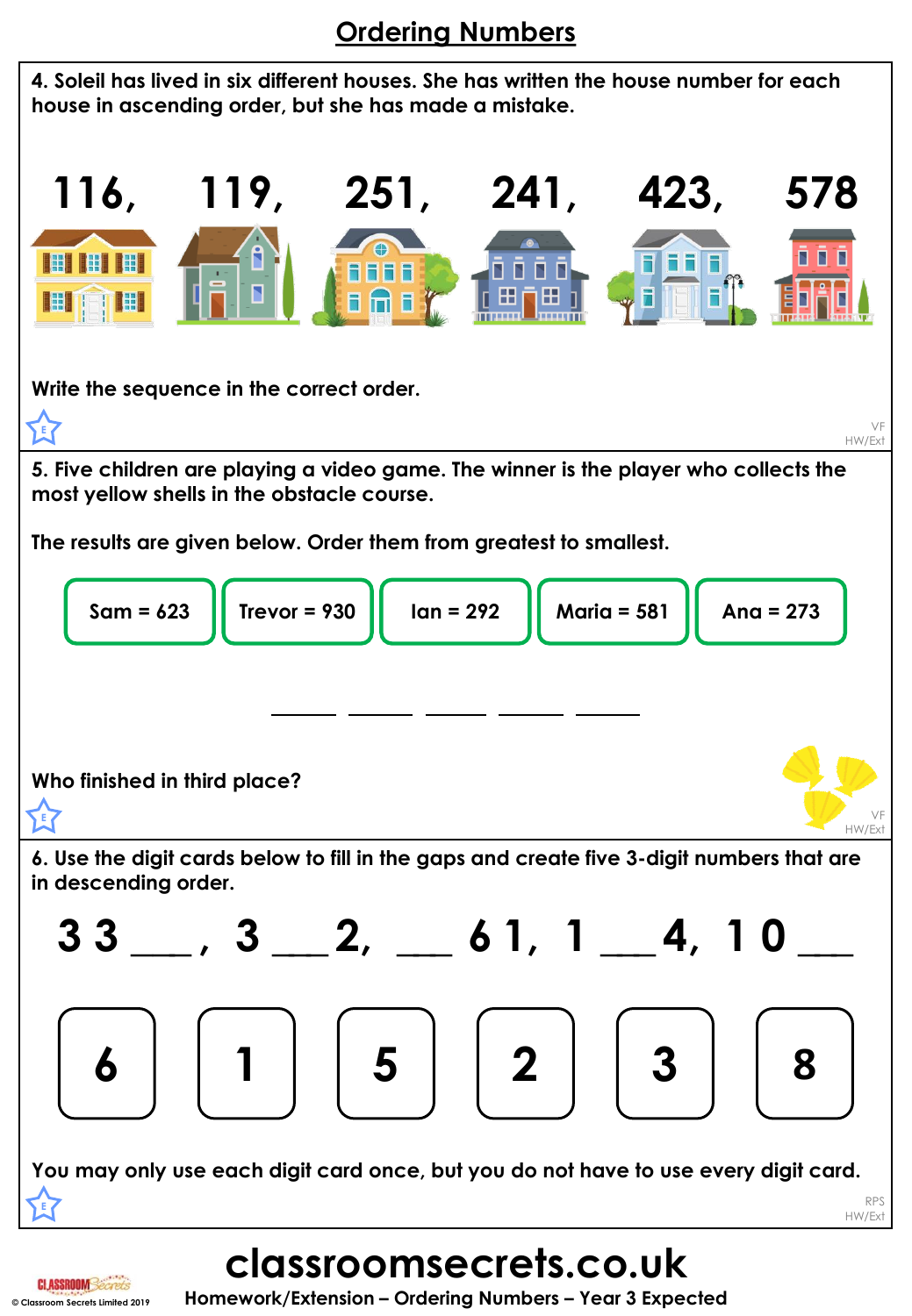# **Ordering Numbers**



**classroomsecrets.co.uk © Classroom Secrets Limited 2019 Homework/Extension – Ordering Numbers – Year 3 Expected**

**CLASSROOMSec**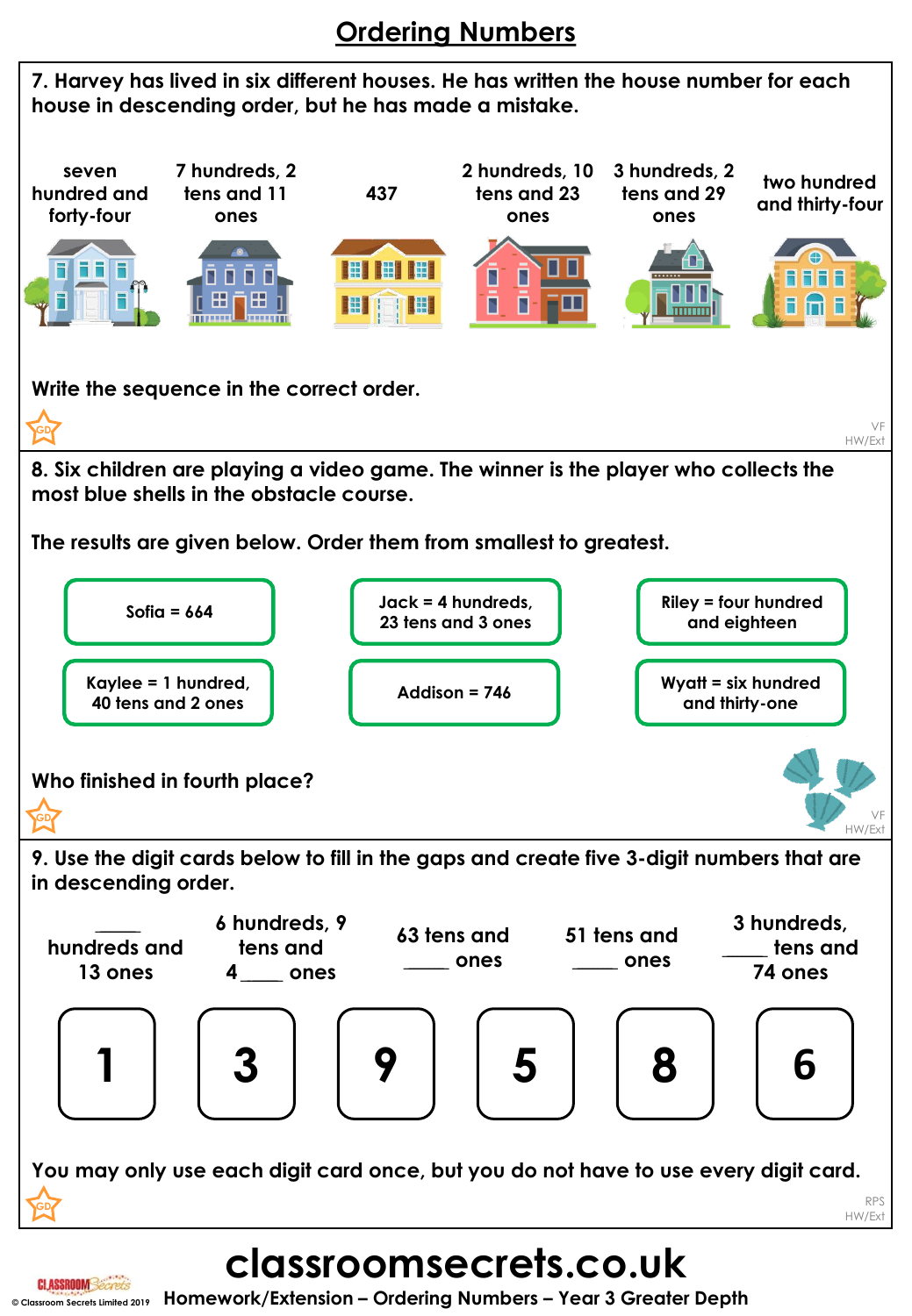# **Ordering Numbers**



**classroomsecrets.co.uk**

**CLASSROOM**Secrets **© Classroom Secrets Limited 2019 Homework/Extension – Ordering Numbers – Year 3 Greater Depth**